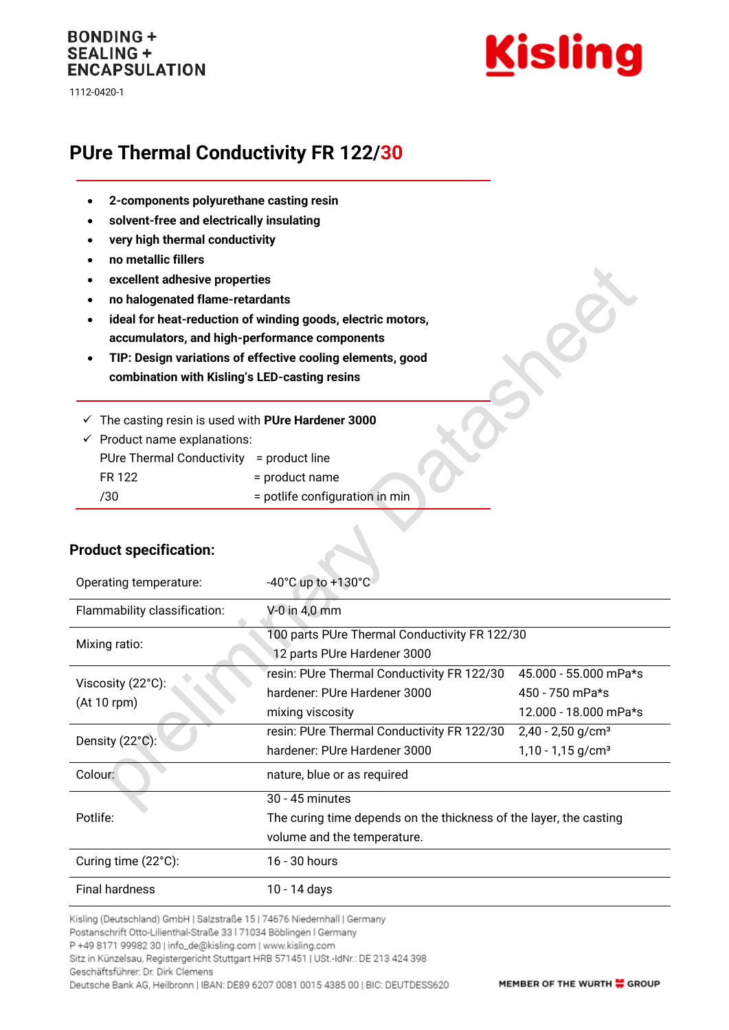## **BONDING + SEALING + ENCAPSULATION**

1112-0420-1



# **PUre Thermal Conductivity FR 122/30**

- **2-components polyurethane casting resin**
- **solvent-free and electrically insulating**
- **very high thermal conductivity**
- **no metallic fillers**
- **excellent adhesive properties**
- **no halogenated flame-retardants**
- **ideal for heat-reduction of winding goods, electric motors, accumulators, and high-performance components**
- **TIP: Design variations of effective cooling elements, good combination with Kisling's LED-casting resins**
- ✓ The casting resin is used with **PUre Hardener 3000**

| $\checkmark$ Product name explanations:  |                                |  |
|------------------------------------------|--------------------------------|--|
| PUre Thermal Conductivity = product line |                                |  |
| FR 122                                   | = product name                 |  |
| $/30^-$                                  | = potlife configuration in min |  |

| Operating temperature:           | $-40^{\circ}$ C up to $+130^{\circ}$ C                                                                               |                                                                    |  |
|----------------------------------|----------------------------------------------------------------------------------------------------------------------|--------------------------------------------------------------------|--|
| Flammability classification:     | $V-0$ in 4,0 mm                                                                                                      |                                                                    |  |
| Mixing ratio:                    | 100 parts PUre Thermal Conductivity FR 122/30<br>12 parts PUre Hardener 3000                                         |                                                                    |  |
| Viscosity (22°C):<br>(At 10 rpm) | resin: PUre Thermal Conductivity FR 122/30<br>hardener: PUre Hardener 3000<br>mixing viscosity                       | 45.000 - 55.000 mPa*s<br>450 - 750 mPa*s<br>12.000 - 18.000 mPa*s  |  |
| Density (22°C):                  | resin: PUre Thermal Conductivity FR 122/30<br>hardener: PUre Hardener 3000                                           | $2,40 - 2,50$ g/cm <sup>3</sup><br>$1,10 - 1,15$ g/cm <sup>3</sup> |  |
| Colour:                          | nature, blue or as required                                                                                          |                                                                    |  |
| Potlife:                         | 30 - 45 minutes<br>The curing time depends on the thickness of the layer, the casting<br>volume and the temperature. |                                                                    |  |
| Curing time (22°C):              | 16 - 30 hours                                                                                                        |                                                                    |  |
| <b>Final hardness</b>            | 10 - 14 days                                                                                                         |                                                                    |  |

#### **Product specification:**

Kisling (Deutschland) GmbH | Salzstraße 15 | 74676 Niedernhall | Germany

Postanschrift Otto-Lilienthal-Straße 33 | 71034 Böblingen | Germany

P +49 8171 99982 30 | info\_de@kisling.com | www.kisling.com

Sitz in Künzelsau, Registergericht Stuttgart HRB 571451 | USt.-IdNr.: DE 213 424 398

Geschäftsführer: Dr. Dirk Clemens Deutsche Bank AG, Heilbronn | IBAN: DE89 6207 0081 0015 4385 00 | BIC: DEUTDESS620